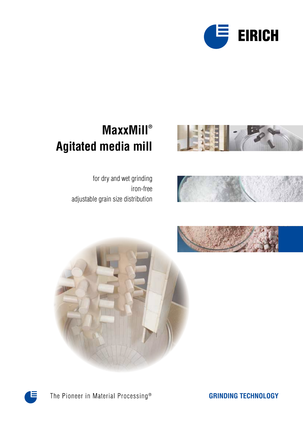



### **MaxxMill® Agitated media mill**



for dry and wet grinding iron-free adjustable grain size distribution









The Pioneer in Material Processing®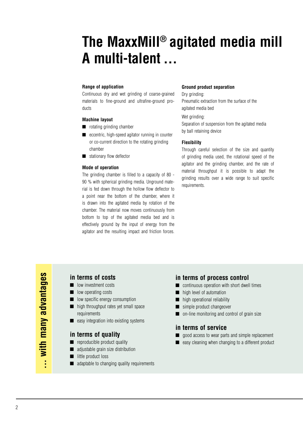# **The MaxxMill® agitated media mill A multi-talent ...**

#### **Range of application**

Continuous dry and wet grinding of coarse-grained materials to fine-ground and ultrafine-ground products

#### **Machine layout**

- rotating grinding chamber
- eccentric, high-speed agitator running in counter or co-current direction to the rotating grinding chamber
- stationary flow deflector

#### **Mode of operation**

The grinding chamber is filled to a capacity of 80 - 90 % with spherical grinding media. Unground material is fed down through the hollow flow deflector to a point near the bottom of the chamber, where it is drawn into the agitated media by rotation of the chamber. The material now moves continuously from bottom to top of the agitated media bed and is effectively ground by the input of energy from the agitator and the resulting impact and friction forces.

#### **Ground product separation**

Dry grinding: Pneumatic extraction from the surface of the agitated media bed

Wet grinding:

Separation of suspension from the agitated media by ball retaining device

#### **Flexibility**

Through careful selection of the size and quantity of grinding media used, the rotational speed of the agitator and the grinding chamber, and the rate of material throughput it is possible to adapt the grinding results over a wide range to suit specific requirements.

**... with many advantages**  ... with many advantages

#### **in terms of costs**

- low investment costs
- low operating costs
- low specific energy consumption
- high throughput rates yet small space requirements
- easy integration into existing systems

#### **in terms of quality**

- reproducible product quality
- adjustable grain size distribution
- little product loss
- adaptable to changing quality requirements

#### **in terms of process control**

- continuous operation with short dwell times
- high level of automation
- high operational reliability
- simple product changeover
- on-line monitoring and control of grain size

#### **in terms of service**

- good access to wear parts and simple replacement
- easy cleaning when changing to a different product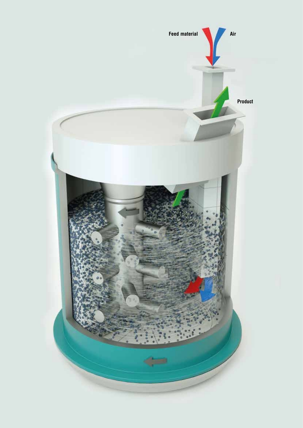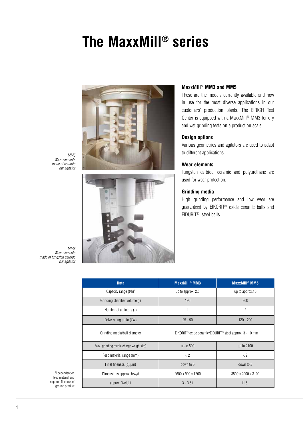# **The MaxxMill® series**



*MM5 Wear elements made of ceramic bar agitator*



#### **MaxxMill® MM3 and MM5**

These are the models currently available and now in use for the most diverse applications in our customers' production plants. The EIRICH Test Center is equipped with a MaxxMill® MM3 for dry and wet grinding tests on a production scale.

#### **Design options**

Various geometries and agitators are used to adapt to different applications.

#### **Wear elements**

Tungsten carbide, ceramic and polyurethane are used for wear protection.

#### **Grinding media**

High grinding performance and low wear are guaranteed by EIKORIT® oxide ceramic balls and EIDURIT® steel balls.

*MM3 Wear elements made of tungsten carbide bar agitator*

| <b>Data</b>                            | <b>MaxxMill<sup>®</sup> MM3</b>                                                 | MaxxMill <sup>®</sup> MM5 |  |  |
|----------------------------------------|---------------------------------------------------------------------------------|---------------------------|--|--|
| Capacity range $(t/h)^1$               | up to approx. 2.5                                                               | up to approx.10           |  |  |
| Grinding chamber volume (I)            | 190                                                                             | 800                       |  |  |
| Number of agitators (-)                |                                                                                 | $\overline{2}$            |  |  |
| Drive rating up to (kW)                | $25 - 50$                                                                       | $120 - 200$               |  |  |
| Grinding media/ball diameter           | EIKORIT <sup>®</sup> oxide ceramic/EIDURIT <sup>®</sup> steel approx. 3 - 10 mm |                           |  |  |
| Max. grinding media charge weight (kg) | up to 500                                                                       | up to 2100                |  |  |
| Feed material range (mm)               | $\langle 2 \rangle$                                                             | $\langle 2 \rangle$       |  |  |
| Final fineness $(d_{97} \mu m)$        | down to 5                                                                       | down to 5                 |  |  |
| Dimensions approx. h/w/d               | 2600 x 900 x 1700                                                               | 3500 x 2000 x 3100        |  |  |
| approx. Weight                         | $3 - 3.5t$                                                                      | 11.5t                     |  |  |

1) dependent on feed material and required fineness of ground product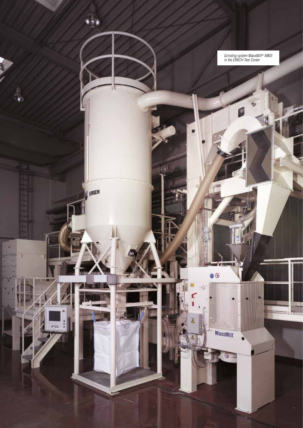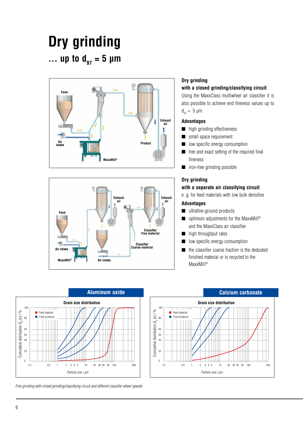# **Dry grinding**  ... up to  $d_{97} = 5 \mu m$





### **Dry grinding**

#### **with a closed grinding/classifying circuit**

Using the MaxxClass multiwheel air classifier it is also possible to achieve end fineness values up to  $d_{97} = 5 \, \mu m$ .

#### **Advantages**

- high grinding effectiveness
- small space requirement
- low specific energy consumption
- free and exact setting of the required final fineness
- iron-free grinding possible

#### **Dry grinding**

#### **with a separate air classifying circuit**

e. g. for feed materials with low bulk densities

### **Advantages**

- ultrafine-ground products
- optimum adjustments for the MaxxMill<sup>®</sup> and the MaxxClass air classifier
- high throughput rates
- low specific energy consumption
- the classifier coarse fraction is the dedusted finished material or is recycled to the MaxxMill®



*Fine grinding with closed grinding/classifying circuit and different classifier wheel speeds*

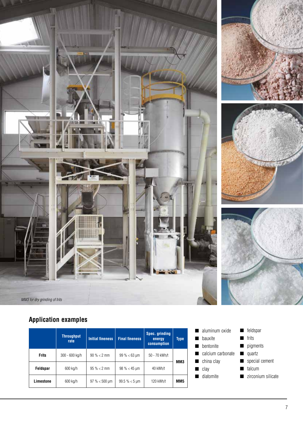

### **Application examples**

|              | <b>Throughput</b><br>rate | <b>Initial fineness</b> | <b>Final fineness</b>          | Spec. grinding<br>energy<br>consumption | Type |  |
|--------------|---------------------------|-------------------------|--------------------------------|-----------------------------------------|------|--|
| <b>Frits</b> | 300 - 600 kg/h            | $90\% < 2 \text{ mm}$   | $99\% < 63 \text{ µm}$         | 50 - 70 kWh/t                           | MM3  |  |
| Feldspar     | 600 kg/h                  | $95\% < 2$ mm           | $98\% < 45 \,\text{\textmu m}$ | 40 kWh/t                                |      |  |
| Limestone    | 600 kg/h                  | $97\% < 500 \; \mu m$   | $99.5\% < 5 \text{ µm}$        | 120 kWh/t                               | MM5  |  |

- aluminum oxide ■ bauxite ■ bentonite ■ calcium carbonate ■ china clay ■ clay ■ diatomite
	- feldspar ■ frits ■ pigments ■ quartz ■ special cement
	- talcum
	-
	- zirconium silicate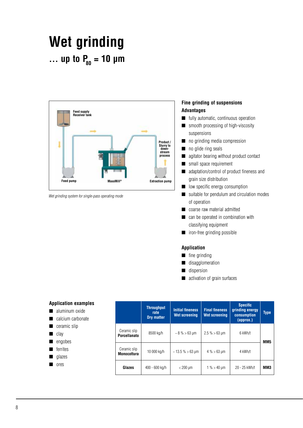## **Wet grinding** ... up to  $P_{80} = 10 \mu m$



*Wet grinding system for single-pass operating mode*

#### **Fine grinding of suspensions Advantages**

- fully automatic, continuous operation
- smooth processing of high-viscosity suspensions
- no grinding media compression
- no glide ring seals
- agitator bearing without product contact
- small space requirement
- adaptation/control of product fineness and grain size distribution
- low specific energy consumption
- suitable for pendulum and circulation modes of operation
- coarse raw material admitted
- can be operated in combination with classifying equipment
- iron-free grinding possible

#### **Application**

- fine grinding
- disagglomeration
- dispersion
- activation of grain surfaces

| <b>Application examples</b><br>aluminum oxide<br>calcium carbonate<br>ceramic slip<br>■ clay<br>engobes<br>■ ferrites<br>■ glazes |                              | <b>Throughput</b><br>rate<br>Dry matter | <b>Initial fineness</b><br>Wet screening | <b>Final fineness</b><br><b>Wet screening</b> | <b>Specific</b><br>grinding energy<br>consumption<br>${\bf (approx.)}$ | <b>Type</b>     |
|-----------------------------------------------------------------------------------------------------------------------------------|------------------------------|-----------------------------------------|------------------------------------------|-----------------------------------------------|------------------------------------------------------------------------|-----------------|
|                                                                                                                                   | Ceramic slip<br>Porcellanato | 8500 kg/h                               | $~\sim 8\% > 63\ \text{\mu m}$           | $2.5\% > 63 \,\text{\mu m}$                   | 6 kWh/t                                                                | MM <sub>5</sub> |
|                                                                                                                                   | Ceramic slip<br>Monocottura  | 10 000 kg/h                             | $~13.5\% > 63 \; \mu m$                  | $4\% > 63$ µm                                 | 4 kWh/t                                                                |                 |
| ores                                                                                                                              | Glazes                       | 400 - 600 kg/h                          | $<$ 200 $\mu$ m                          | $1\% > 40$ µm                                 | 20 - 25 kWh/t                                                          | MM3             |

- 
- 
- 
- 
- 
- 
- $\blacksquare$
-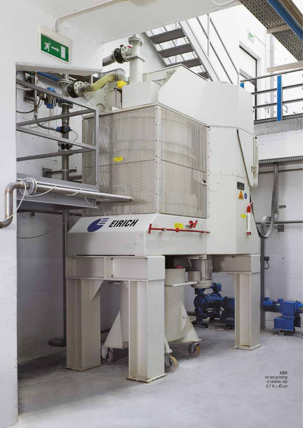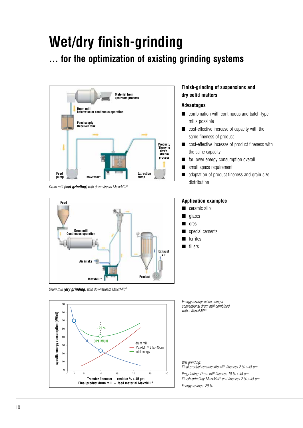# **Wet/dry finish-grinding**

### **... for the optimization of existing grinding systems**



*Drum mill (wet grinding) with downstream MaxxMill®*



*Drum mill (dry grinding) with downstream MaxxMill®*



### **Finish-grinding of suspensions and dry solid matters**

#### **Advantages**

- combination with continuous and batch-type mills possible
- cost-effective increase of capacity with the same fineness of product
- cost-effective increase of product fineness with the same capacity
- far lower energy consumption overall
- small space requirement
- adaptation of product fineness and grain size distribution

#### **Application examples**

- ceramic slip
- glazes
- ores
- special cements
- ferrites
- fillers

*Energy savings when using a conventional drum mill combined with a MaxxMill®*

*Wet grinding:*

*Final product ceramic slip with fineness 2 % > 45 µm Pregrinding: Drum mill fineness 10 % > 45 µm Finish-grinding: MaxxMill® end fineness 2 % > 45 µm Energy savings: 29 %*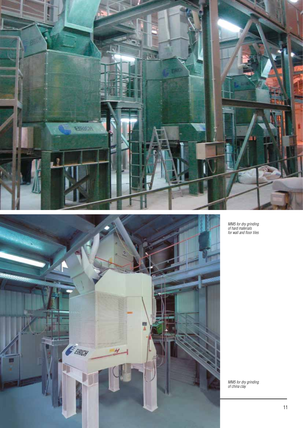



*MM5 for dry grinding of hard materials for wall and floor tiles*

*MM5 for dry grinding of china clay*